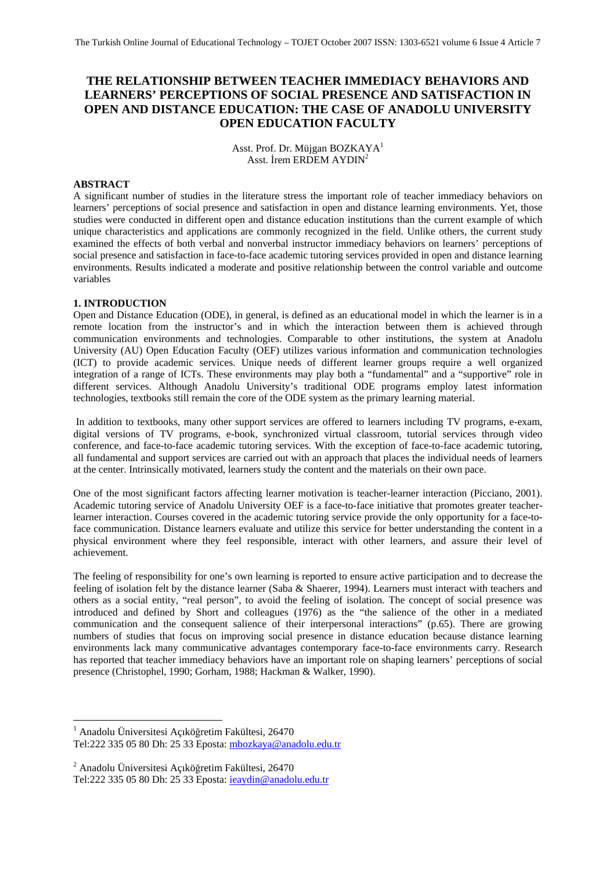# **THE RELATIONSHIP BETWEEN TEACHER IMMEDIACY BEHAVIORS AND LEARNERS' PERCEPTIONS OF SOCIAL PRESENCE AND SATISFACTION IN OPEN AND DISTANCE EDUCATION: THE CASE OF ANADOLU UNIVERSITY OPEN EDUCATION FACULTY**

Asst. Prof. Dr. Müjgan BOZKAYA<sup>1</sup> Asst. İrem ERDEM AYDIN2

#### **ABSTRACT**

A significant number of studies in the literature stress the important role of teacher immediacy behaviors on learners' perceptions of social presence and satisfaction in open and distance learning environments. Yet, those studies were conducted in different open and distance education institutions than the current example of which unique characteristics and applications are commonly recognized in the field. Unlike others, the current study examined the effects of both verbal and nonverbal instructor immediacy behaviors on learners' perceptions of social presence and satisfaction in face-to-face academic tutoring services provided in open and distance learning environments. Results indicated a moderate and positive relationship between the control variable and outcome variables

## **1. INTRODUCTION**

Open and Distance Education (ODE), in general, is defined as an educational model in which the learner is in a remote location from the instructor's and in which the interaction between them is achieved through communication environments and technologies. Comparable to other institutions, the system at Anadolu University (AU) Open Education Faculty (OEF) utilizes various information and communication technologies (ICT) to provide academic services. Unique needs of different learner groups require a well organized integration of a range of ICTs. These environments may play both a "fundamental" and a "supportive" role in different services. Although Anadolu University's traditional ODE programs employ latest information technologies, textbooks still remain the core of the ODE system as the primary learning material.

 In addition to textbooks, many other support services are offered to learners including TV programs, e-exam, digital versions of TV programs, e-book, synchronized virtual classroom, tutorial services through video conference, and face-to-face academic tutoring services. With the exception of face-to-face academic tutoring, all fundamental and support services are carried out with an approach that places the individual needs of learners at the center. Intrinsically motivated, learners study the content and the materials on their own pace.

One of the most significant factors affecting learner motivation is teacher-learner interaction (Picciano, 2001). Academic tutoring service of Anadolu University OEF is a face-to-face initiative that promotes greater teacherlearner interaction. Courses covered in the academic tutoring service provide the only opportunity for a face-toface communication. Distance learners evaluate and utilize this service for better understanding the content in a physical environment where they feel responsible, interact with other learners, and assure their level of achievement.

The feeling of responsibility for one's own learning is reported to ensure active participation and to decrease the feeling of isolation felt by the distance learner (Saba & Shaerer, 1994). Learners must interact with teachers and others as a social entity, "real person", to avoid the feeling of isolation. The concept of social presence was introduced and defined by Short and colleagues (1976) as the "the salience of the other in a mediated communication and the consequent salience of their interpersonal interactions" (p.65). There are growing numbers of studies that focus on improving social presence in distance education because distance learning environments lack many communicative advantages contemporary face-to-face environments carry. Research has reported that teacher immediacy behaviors have an important role on shaping learners' perceptions of social presence (Christophel, 1990; Gorham, 1988; Hackman & Walker, 1990).

1

<sup>1</sup> Anadolu Üniversitesi Açıköğretim Fakültesi, 26470

Tel:222 335 05 80 Dh: 25 33 Eposta: mbozkaya@anadolu.edu.tr

<sup>2</sup> Anadolu Üniversitesi Açıköğretim Fakültesi, 26470

Tel:222 335 05 80 Dh: 25 33 Eposta: ieaydin@anadolu.edu.tr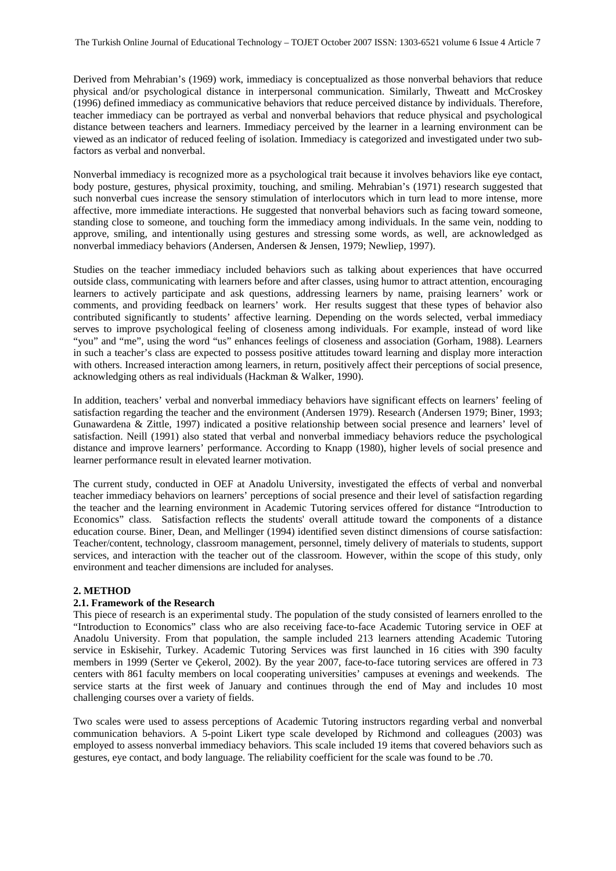Derived from Mehrabian's (1969) work, immediacy is conceptualized as those nonverbal behaviors that reduce physical and/or psychological distance in interpersonal communication. Similarly, Thweatt and McCroskey (1996) defined immediacy as communicative behaviors that reduce perceived distance by individuals. Therefore, teacher immediacy can be portrayed as verbal and nonverbal behaviors that reduce physical and psychological distance between teachers and learners. Immediacy perceived by the learner in a learning environment can be viewed as an indicator of reduced feeling of isolation. Immediacy is categorized and investigated under two subfactors as verbal and nonverbal.

Nonverbal immediacy is recognized more as a psychological trait because it involves behaviors like eye contact, body posture, gestures, physical proximity, touching, and smiling. Mehrabian's (1971) research suggested that such nonverbal cues increase the sensory stimulation of interlocutors which in turn lead to more intense, more affective, more immediate interactions. He suggested that nonverbal behaviors such as facing toward someone, standing close to someone, and touching form the immediacy among individuals. In the same vein, nodding to approve, smiling, and intentionally using gestures and stressing some words, as well, are acknowledged as nonverbal immediacy behaviors (Andersen, Andersen & Jensen, 1979; Newliep, 1997).

Studies on the teacher immediacy included behaviors such as talking about experiences that have occurred outside class, communicating with learners before and after classes, using humor to attract attention, encouraging learners to actively participate and ask questions, addressing learners by name, praising learners' work or comments, and providing feedback on learners' work. Her results suggest that these types of behavior also contributed significantly to students' affective learning. Depending on the words selected, verbal immediacy serves to improve psychological feeling of closeness among individuals. For example, instead of word like "you" and "me", using the word "us" enhances feelings of closeness and association (Gorham, 1988). Learners in such a teacher's class are expected to possess positive attitudes toward learning and display more interaction with others. Increased interaction among learners, in return, positively affect their perceptions of social presence, acknowledging others as real individuals (Hackman & Walker, 1990).

In addition, teachers' verbal and nonverbal immediacy behaviors have significant effects on learners' feeling of satisfaction regarding the teacher and the environment (Andersen 1979). Research (Andersen 1979; Biner, 1993; Gunawardena & Zittle, 1997) indicated a positive relationship between social presence and learners' level of satisfaction. Neill (1991) also stated that verbal and nonverbal immediacy behaviors reduce the psychological distance and improve learners' performance. According to Knapp (1980), higher levels of social presence and learner performance result in elevated learner motivation.

The current study, conducted in OEF at Anadolu University, investigated the effects of verbal and nonverbal teacher immediacy behaviors on learners' perceptions of social presence and their level of satisfaction regarding the teacher and the learning environment in Academic Tutoring services offered for distance "Introduction to Economics" class. Satisfaction reflects the students' overall attitude toward the components of a distance education course. Biner, Dean, and Mellinger (1994) identified seven distinct dimensions of course satisfaction: Teacher/content, technology, classroom management, personnel, timely delivery of materials to students, support services, and interaction with the teacher out of the classroom. However, within the scope of this study, only environment and teacher dimensions are included for analyses.

# **2. METHOD**

## **2.1. Framework of the Research**

This piece of research is an experimental study. The population of the study consisted of learners enrolled to the "Introduction to Economics" class who are also receiving face-to-face Academic Tutoring service in OEF at Anadolu University. From that population, the sample included 213 learners attending Academic Tutoring service in Eskisehir, Turkey. Academic Tutoring Services was first launched in 16 cities with 390 faculty members in 1999 (Serter ve Çekerol, 2002). By the year 2007, face-to-face tutoring services are offered in 73 centers with 861 faculty members on local cooperating universities' campuses at evenings and weekends. The service starts at the first week of January and continues through the end of May and includes 10 most challenging courses over a variety of fields.

Two scales were used to assess perceptions of Academic Tutoring instructors regarding verbal and nonverbal communication behaviors. A 5-point Likert type scale developed by Richmond and colleagues (2003) was employed to assess nonverbal immediacy behaviors. This scale included 19 items that covered behaviors such as gestures, eye contact, and body language. The reliability coefficient for the scale was found to be .70.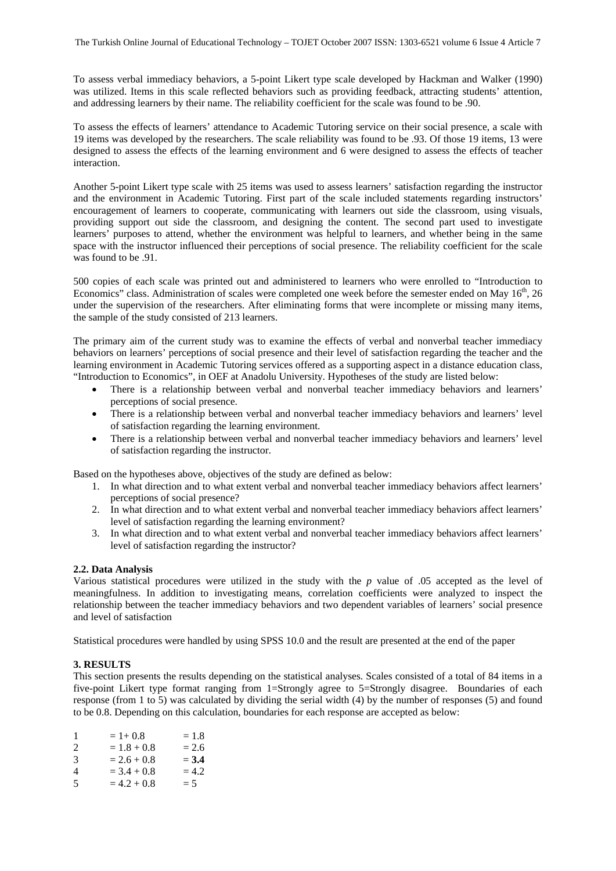To assess verbal immediacy behaviors, a 5-point Likert type scale developed by Hackman and Walker (1990) was utilized. Items in this scale reflected behaviors such as providing feedback, attracting students' attention, and addressing learners by their name. The reliability coefficient for the scale was found to be .90.

To assess the effects of learners' attendance to Academic Tutoring service on their social presence, a scale with 19 items was developed by the researchers. The scale reliability was found to be .93. Of those 19 items, 13 were designed to assess the effects of the learning environment and 6 were designed to assess the effects of teacher interaction.

Another 5-point Likert type scale with 25 items was used to assess learners' satisfaction regarding the instructor and the environment in Academic Tutoring. First part of the scale included statements regarding instructors' encouragement of learners to cooperate, communicating with learners out side the classroom, using visuals, providing support out side the classroom, and designing the content. The second part used to investigate learners' purposes to attend, whether the environment was helpful to learners, and whether being in the same space with the instructor influenced their perceptions of social presence. The reliability coefficient for the scale was found to be .91.

500 copies of each scale was printed out and administered to learners who were enrolled to "Introduction to Economics" class. Administration of scales were completed one week before the semester ended on May  $16<sup>th</sup>$ , 26 under the supervision of the researchers. After eliminating forms that were incomplete or missing many items, the sample of the study consisted of 213 learners.

The primary aim of the current study was to examine the effects of verbal and nonverbal teacher immediacy behaviors on learners' perceptions of social presence and their level of satisfaction regarding the teacher and the learning environment in Academic Tutoring services offered as a supporting aspect in a distance education class, "Introduction to Economics", in OEF at Anadolu University. Hypotheses of the study are listed below:

- There is a relationship between verbal and nonverbal teacher immediacy behaviors and learners' perceptions of social presence.
- There is a relationship between verbal and nonverbal teacher immediacy behaviors and learners' level of satisfaction regarding the learning environment.
- There is a relationship between verbal and nonverbal teacher immediacy behaviors and learners' level of satisfaction regarding the instructor.

Based on the hypotheses above, objectives of the study are defined as below:

- 1. In what direction and to what extent verbal and nonverbal teacher immediacy behaviors affect learners' perceptions of social presence?
- 2. In what direction and to what extent verbal and nonverbal teacher immediacy behaviors affect learners' level of satisfaction regarding the learning environment?
- 3. In what direction and to what extent verbal and nonverbal teacher immediacy behaviors affect learners' level of satisfaction regarding the instructor?

## **2.2. Data Analysis**

Various statistical procedures were utilized in the study with the *p* value of .05 accepted as the level of meaningfulness. In addition to investigating means, correlation coefficients were analyzed to inspect the relationship between the teacher immediacy behaviors and two dependent variables of learners' social presence and level of satisfaction

Statistical procedures were handled by using SPSS 10.0 and the result are presented at the end of the paper

# **3. RESULTS**

This section presents the results depending on the statistical analyses. Scales consisted of a total of 84 items in a five-point Likert type format ranging from 1=Strongly agree to 5=Strongly disagree. Boundaries of each response (from 1 to 5) was calculated by dividing the serial width (4) by the number of responses (5) and found to be 0.8. Depending on this calculation, boundaries for each response are accepted as below:

| -1 | $= 1 + 0.8$   | $=1.8$  |
|----|---------------|---------|
| 2  | $= 1.8 + 0.8$ | $= 2.6$ |
| 3  | $= 2.6 + 0.8$ | $= 3.4$ |
| 4  | $=$ 3.4 + 0.8 | $= 4.2$ |
| 5  | $= 4.2 + 0.8$ | $= 5$   |
|    |               |         |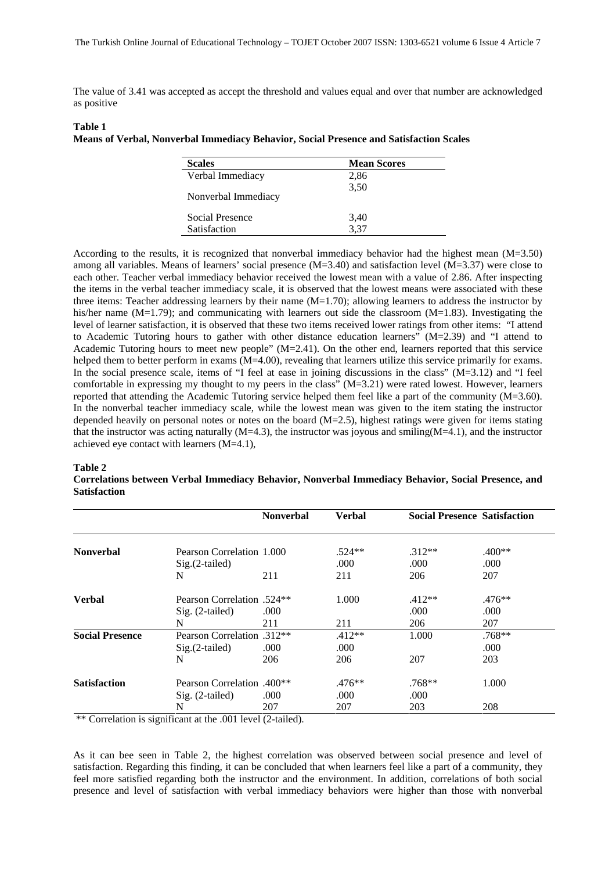The value of 3.41 was accepted as accept the threshold and values equal and over that number are acknowledged as positive

#### **Table 1**

#### **Means of Verbal, Nonverbal Immediacy Behavior, Social Presence and Satisfaction Scales**

| <b>Scales</b>       | <b>Mean Scores</b> |
|---------------------|--------------------|
| Verbal Immediacy    | 2,86               |
| Nonverbal Immediacy | 3,50               |
| Social Presence     | 3,40               |
| Satisfaction        | 3.37               |

According to the results, it is recognized that nonverbal immediacy behavior had the highest mean (M=3.50) among all variables. Means of learners' social presence (M=3.40) and satisfaction level (M=3.37) were close to each other. Teacher verbal immediacy behavior received the lowest mean with a value of 2.86. After inspecting the items in the verbal teacher immediacy scale, it is observed that the lowest means were associated with these three items: Teacher addressing learners by their name  $(M=1.70)$ ; allowing learners to address the instructor by his/her name  $(M=1.79)$ ; and communicating with learners out side the classroom  $(M=1.83)$ . Investigating the level of learner satisfaction, it is observed that these two items received lower ratings from other items: "I attend to Academic Tutoring hours to gather with other distance education learners" (M=2.39) and "I attend to Academic Tutoring hours to meet new people" (M=2.41). On the other end, learners reported that this service helped them to better perform in exams (M=4.00), revealing that learners utilize this service primarily for exams. In the social presence scale, items of "I feel at ease in joining discussions in the class" (M=3.12) and "I feel comfortable in expressing my thought to my peers in the class" (M=3.21) were rated lowest. However, learners reported that attending the Academic Tutoring service helped them feel like a part of the community (M=3.60). In the nonverbal teacher immediacy scale, while the lowest mean was given to the item stating the instructor depended heavily on personal notes or notes on the board (M=2.5), highest ratings were given for items stating that the instructor was acting naturally  $(M=4.3)$ , the instructor was joyous and smiling $(M=4.1)$ , and the instructor achieved eye contact with learners (M=4.1),

#### **Table 2**

# **Correlations between Verbal Immediacy Behavior, Nonverbal Immediacy Behavior, Social Presence, and Satisfaction**

|                        |                                               | <b>Nonverbal</b> | <b>Verbal</b> | <b>Social Presence Satisfaction</b> |          |
|------------------------|-----------------------------------------------|------------------|---------------|-------------------------------------|----------|
|                        |                                               |                  |               |                                     |          |
| <b>Nonverbal</b>       | Pearson Correlation 1,000                     |                  | $.524**$      | $.312**$                            | $.400**$ |
|                        | $Sig.(2-tailed)$                              |                  | .000          | .000.                               | .000     |
|                        | N                                             | 211              | 211           | 206                                 | 207      |
| <b>Verbal</b>          | <b>Pearson Correlation</b> .524 <sup>**</sup> |                  | 1.000         | $.412**$                            | $.476**$ |
|                        | $Sig. (2-tailed)$                             | .000             |               | .000                                | .000     |
|                        | N                                             | 211              | 211           | 206                                 | 207      |
| <b>Social Presence</b> | <b>Pearson Correlation</b> .312**             |                  | $.412**$      | 1.000                               | $.768**$ |
|                        | $Sig.(2-tailed)$                              | .000             | .000          |                                     | .000     |
|                        | N                                             | 206              | 206           | 207                                 | 203      |
| <b>Satisfaction</b>    | <b>Pearson Correlation</b> .400 <sup>**</sup> |                  | $.476**$      | $.768**$                            | 1.000    |
|                        | $Sig. (2-tailed)$                             | .000             | .000          | .000                                |          |
|                        | N                                             | 207              | 207           | 203                                 | 208      |

\*\* Correlation is significant at the .001 level (2-tailed).

As it can bee seen in Table 2, the highest correlation was observed between social presence and level of satisfaction. Regarding this finding, it can be concluded that when learners feel like a part of a community, they feel more satisfied regarding both the instructor and the environment. In addition, correlations of both social presence and level of satisfaction with verbal immediacy behaviors were higher than those with nonverbal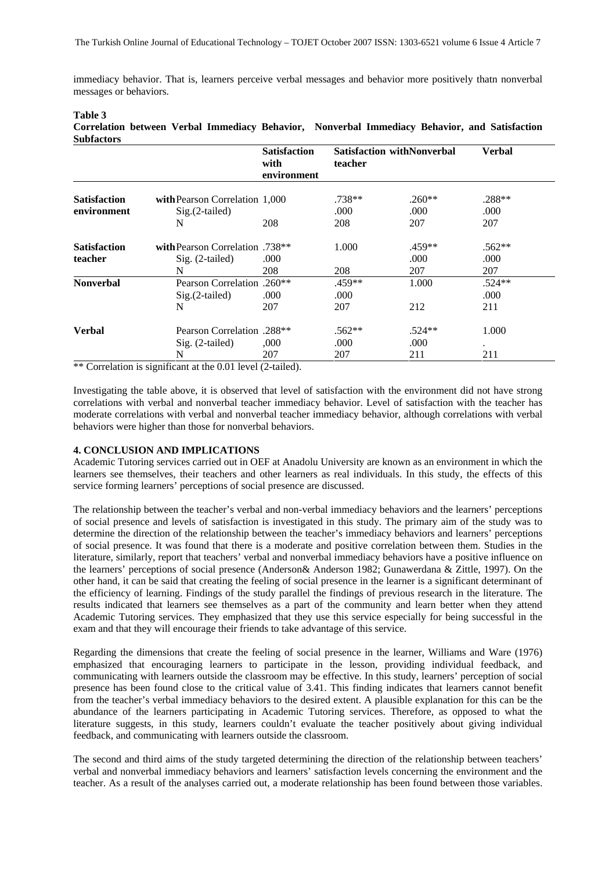immediacy behavior. That is, learners perceive verbal messages and behavior more positively thatn nonverbal messages or behaviors.

#### **Table 3**

**Correlation between Verbal Immediacy Behavior, Nonverbal Immediacy Behavior, and Satisfaction Subfactors** 

|                     |                                   | <b>Satisfaction</b><br>with<br>environment | teacher  | <b>Satisfaction withNonverbal</b> | Verbal   |
|---------------------|-----------------------------------|--------------------------------------------|----------|-----------------------------------|----------|
| <b>Satisfaction</b> | with Pearson Correlation 1,000    |                                            | .738**   | $.260**$                          | .288**   |
| environment         | $Sig.(2-tailed)$                  |                                            | .000     | .000                              | .000     |
|                     | N                                 | 208                                        | 208      | 207                               | 207      |
| <b>Satisfaction</b> | with Pearson Correlation .738**   |                                            | 1.000    | .459**                            | $.562**$ |
| teacher             | $Sig. (2-tailed)$                 | .000                                       |          | .000                              | .000     |
|                     | N                                 | 208                                        | 208      | 207                               | 207      |
| <b>Nonverbal</b>    | Pearson Correlation .260**        |                                            | .459**   | 1.000                             | $.524**$ |
|                     | $Sig.(2-tailed)$                  | .000                                       | .000     |                                   | .000     |
|                     | N                                 | 207                                        | 207      | 212                               | 211      |
| Verbal              | <b>Pearson Correlation</b> .288** |                                            | $.562**$ | $.524**$                          | 1.000    |
|                     | Sig. (2-tailed)                   | ,000                                       | .000     | .000                              |          |
|                     | N                                 | 207                                        | 207      | 211                               | 211      |

\*\* Correlation is significant at the 0.01 level (2-tailed).

Investigating the table above, it is observed that level of satisfaction with the environment did not have strong correlations with verbal and nonverbal teacher immediacy behavior. Level of satisfaction with the teacher has moderate correlations with verbal and nonverbal teacher immediacy behavior, although correlations with verbal behaviors were higher than those for nonverbal behaviors.

## **4. CONCLUSION AND IMPLICATIONS**

Academic Tutoring services carried out in OEF at Anadolu University are known as an environment in which the learners see themselves, their teachers and other learners as real individuals. In this study, the effects of this service forming learners' perceptions of social presence are discussed.

The relationship between the teacher's verbal and non-verbal immediacy behaviors and the learners' perceptions of social presence and levels of satisfaction is investigated in this study. The primary aim of the study was to determine the direction of the relationship between the teacher's immediacy behaviors and learners' perceptions of social presence. It was found that there is a moderate and positive correlation between them. Studies in the literature, similarly, report that teachers' verbal and nonverbal immediacy behaviors have a positive influence on the learners' perceptions of social presence (Anderson& Anderson 1982; Gunawerdana & Zittle, 1997). On the other hand, it can be said that creating the feeling of social presence in the learner is a significant determinant of the efficiency of learning. Findings of the study parallel the findings of previous research in the literature. The results indicated that learners see themselves as a part of the community and learn better when they attend Academic Tutoring services. They emphasized that they use this service especially for being successful in the exam and that they will encourage their friends to take advantage of this service.

Regarding the dimensions that create the feeling of social presence in the learner, Williams and Ware (1976) emphasized that encouraging learners to participate in the lesson, providing individual feedback, and communicating with learners outside the classroom may be effective. In this study, learners' perception of social presence has been found close to the critical value of 3.41. This finding indicates that learners cannot benefit from the teacher's verbal immediacy behaviors to the desired extent. A plausible explanation for this can be the abundance of the learners participating in Academic Tutoring services. Therefore, as opposed to what the literature suggests, in this study, learners couldn't evaluate the teacher positively about giving individual feedback, and communicating with learners outside the classroom.

The second and third aims of the study targeted determining the direction of the relationship between teachers' verbal and nonverbal immediacy behaviors and learners' satisfaction levels concerning the environment and the teacher. As a result of the analyses carried out, a moderate relationship has been found between those variables.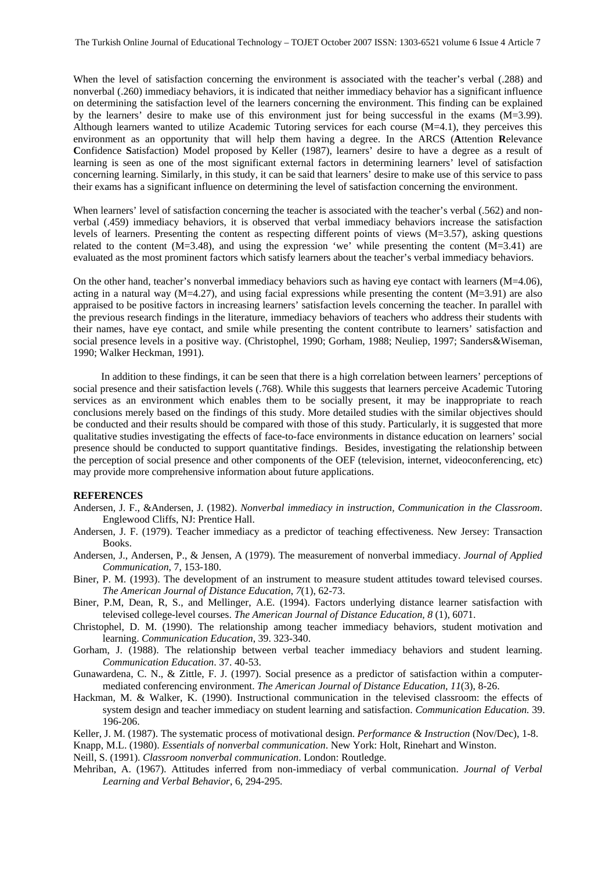When the level of satisfaction concerning the environment is associated with the teacher's verbal (.288) and nonverbal (.260) immediacy behaviors, it is indicated that neither immediacy behavior has a significant influence on determining the satisfaction level of the learners concerning the environment. This finding can be explained by the learners' desire to make use of this environment just for being successful in the exams (M=3.99). Although learners wanted to utilize Academic Tutoring services for each course  $(M=4.1)$ , they perceives this environment as an opportunity that will help them having a degree. In the ARCS (**A**ttention **R**elevance **C**onfidence **S**atisfaction) Model proposed by Keller (1987), learners' desire to have a degree as a result of learning is seen as one of the most significant external factors in determining learners' level of satisfaction concerning learning. Similarly, in this study, it can be said that learners' desire to make use of this service to pass their exams has a significant influence on determining the level of satisfaction concerning the environment.

When learners' level of satisfaction concerning the teacher is associated with the teacher's verbal (.562) and nonverbal (.459) immediacy behaviors, it is observed that verbal immediacy behaviors increase the satisfaction levels of learners. Presenting the content as respecting different points of views (M=3.57), asking questions related to the content  $(M=3.48)$ , and using the expression 'we' while presenting the content  $(M=3.41)$  are evaluated as the most prominent factors which satisfy learners about the teacher's verbal immediacy behaviors.

On the other hand, teacher's nonverbal immediacy behaviors such as having eye contact with learners (M=4.06), acting in a natural way  $(M=4.27)$ , and using facial expressions while presenting the content  $(M=3.91)$  are also appraised to be positive factors in increasing learners' satisfaction levels concerning the teacher. In parallel with the previous research findings in the literature, immediacy behaviors of teachers who address their students with their names, have eye contact, and smile while presenting the content contribute to learners' satisfaction and social presence levels in a positive way. (Christophel, 1990; Gorham, 1988; Neuliep, 1997; Sanders&Wiseman, 1990; Walker Heckman, 1991).

In addition to these findings, it can be seen that there is a high correlation between learners' perceptions of social presence and their satisfaction levels (.768). While this suggests that learners perceive Academic Tutoring services as an environment which enables them to be socially present, it may be inappropriate to reach conclusions merely based on the findings of this study. More detailed studies with the similar objectives should be conducted and their results should be compared with those of this study. Particularly, it is suggested that more qualitative studies investigating the effects of face-to-face environments in distance education on learners' social presence should be conducted to support quantitative findings. Besides, investigating the relationship between the perception of social presence and other components of the OEF (television, internet, videoconferencing, etc) may provide more comprehensive information about future applications.

#### **REFERENCES**

- Andersen, J. F., &Andersen, J. (1982). *Nonverbal immediacy in instruction, Communication in the Classroom*. Englewood Cliffs, NJ: Prentice Hall.
- Andersen, J. F. (1979). Teacher immediacy as a predictor of teaching effectiveness. New Jersey: Transaction Books.
- Andersen, J., Andersen, P., & Jensen, A (1979). The measurement of nonverbal immediacy. *Journal of Applied Communication*, 7, 153-180.
- Biner, P. M. (1993). The development of an instrument to measure student attitudes toward televised courses. *The American Journal of Distance Education*, *7*(1), 62-73.
- Biner, P.M, Dean, R, S., and Mellinger, A.E. (1994). Factors underlying distance learner satisfaction with televised college-level courses. *The American Journal of Distance Education, 8* (1), 6071.
- Christophel, D. M. (1990). The relationship among teacher immediacy behaviors, student motivation and learning. *Communication Education*, 39. 323-340.
- Gorham, J. (1988). The relationship between verbal teacher immediacy behaviors and student learning. *Communication Education*. 37. 40-53.
- Gunawardena, C. N., & Zittle, F. J. (1997). Social presence as a predictor of satisfaction within a computermediated conferencing environment. *The American Journal of Distance Education, 11*(3), 8-26.
- Hackman, M. & Walker, K. (1990). Instructional communication in the televised classroom: the effects of system design and teacher immediacy on student learning and satisfaction. *Communication Education.* 39. 196-206.
- Keller, J. M. (1987). The systematic process of motivational design. *Performance & Instruction* (Nov/Dec), 1-8.
- Knapp, M.L. (1980). *Essentials of nonverbal communication*. New York: Holt, Rinehart and Winston.

Neill, S. (1991). *Classroom nonverbal communication*. London: Routledge.

Mehriban, A. (1967). Attitudes inferred from non-immediacy of verbal communication. *Journal of Verbal Learning and Verbal Behavior*, 6, 294-295.